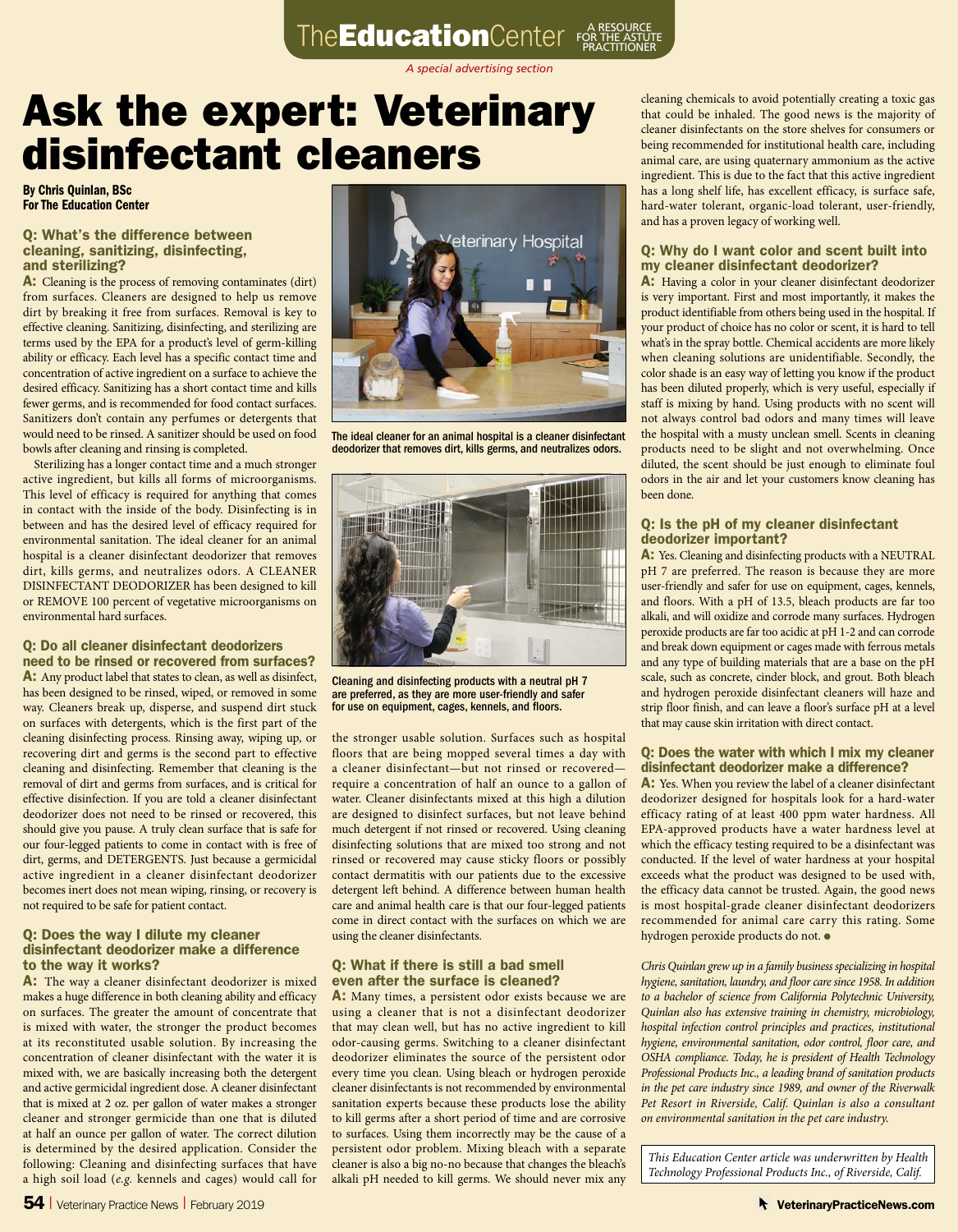*A special advertising section*

## Ask the expert: Veterinary disinfectant cleaners

By Chris Quinlan, BSc For The Education Center

#### Q: What's the difference between cleaning, sanitizing, disinfecting, and sterilizing?

A: Cleaning is the process of removing contaminates (dirt) from surfaces. Cleaners are designed to help us remove dirt by breaking it free from surfaces. Removal is key to effective cleaning. Sanitizing, disinfecting, and sterilizing are terms used by the EPA for a product's level of germ-killing ability or efficacy. Each level has a specific contact time and concentration of active ingredient on a surface to achieve the desired efficacy. Sanitizing has a short contact time and kills fewer germs, and is recommended for food contact surfaces. Sanitizers don't contain any perfumes or detergents that would need to be rinsed. A sanitizer should be used on food bowls after cleaning and rinsing is completed.

Sterilizing has a longer contact time and a much stronger active ingredient, but kills all forms of microorganisms. This level of efficacy is required for anything that comes in contact with the inside of the body. Disinfecting is in between and has the desired level of efficacy required for environmental sanitation. The ideal cleaner for an animal hospital is a cleaner disinfectant deodorizer that removes dirt, kills germs, and neutralizes odors. A CLEANER DISINFECTANT DEODORIZER has been designed to kill or REMOVE 100 percent of vegetative microorganisms on environmental hard surfaces.

#### Q: Do all cleaner disinfectant deodorizers need to be rinsed or recovered from surfaces?

A: Any product label that states to clean, as well as disinfect, has been designed to be rinsed, wiped, or removed in some way. Cleaners break up, disperse, and suspend dirt stuck on surfaces with detergents, which is the first part of the cleaning disinfecting process. Rinsing away, wiping up, or recovering dirt and germs is the second part to effective cleaning and disinfecting. Remember that cleaning is the removal of dirt and germs from surfaces, and is critical for effective disinfection. If you are told a cleaner disinfectant deodorizer does not need to be rinsed or recovered, this should give you pause. A truly clean surface that is safe for our four-legged patients to come in contact with is free of dirt, germs, and DETERGENTS. Just because a germicidal active ingredient in a cleaner disinfectant deodorizer becomes inert does not mean wiping, rinsing, or recovery is not required to be safe for patient contact.

#### Q: Does the way I dilute my cleaner disinfectant deodorizer make a difference to the way it works?

A: The way a cleaner disinfectant deodorizer is mixed makes a huge difference in both cleaning ability and efficacy on surfaces. The greater the amount of concentrate that is mixed with water, the stronger the product becomes at its reconstituted usable solution. By increasing the concentration of cleaner disinfectant with the water it is mixed with, we are basically increasing both the detergent and active germicidal ingredient dose. A cleaner disinfectant that is mixed at 2 oz. per gallon of water makes a stronger cleaner and stronger germicide than one that is diluted at half an ounce per gallon of water. The correct dilution is determined by the desired application. Consider the following: Cleaning and disinfecting surfaces that have a high soil load (*e.g.* kennels and cages) would call for



The ideal cleaner for an animal hospital is a cleaner disinfectant deodorizer that removes dirt, kills germs, and neutralizes odors.



Cleaning and disinfecting products with a neutral pH 7 are preferred, as they are more user-friendly and safer for use on equipment, cages, kennels, and floors.

the stronger usable solution. Surfaces such as hospital floors that are being mopped several times a day with a cleaner disinfectant—but not rinsed or recovered require a concentration of half an ounce to a gallon of water. Cleaner disinfectants mixed at this high a dilution are designed to disinfect surfaces, but not leave behind much detergent if not rinsed or recovered. Using cleaning disinfecting solutions that are mixed too strong and not rinsed or recovered may cause sticky floors or possibly contact dermatitis with our patients due to the excessive detergent left behind. A difference between human health care and animal health care is that our four-legged patients come in direct contact with the surfaces on which we are using the cleaner disinfectants.

#### Q: What if there is still a bad smell even after the surface is cleaned?

A: Many times, a persistent odor exists because we are using a cleaner that is not a disinfectant deodorizer that may clean well, but has no active ingredient to kill odor-causing germs. Switching to a cleaner disinfectant deodorizer eliminates the source of the persistent odor every time you clean. Using bleach or hydrogen peroxide cleaner disinfectants is not recommended by environmental sanitation experts because these products lose the ability to kill germs after a short period of time and are corrosive to surfaces. Using them incorrectly may be the cause of a persistent odor problem. Mixing bleach with a separate cleaner is also a big no-no because that changes the bleach's alkali pH needed to kill germs. We should never mix any

cleaning chemicals to avoid potentially creating a toxic gas that could be inhaled. The good news is the majority of cleaner disinfectants on the store shelves for consumers or being recommended for institutional health care, including animal care, are using quaternary ammonium as the active ingredient. This is due to the fact that this active ingredient has a long shelf life, has excellent efficacy, is surface safe, hard-water tolerant, organic-load tolerant, user-friendly, and has a proven legacy of working well.

#### Q: Why do I want color and scent built into my cleaner disinfectant deodorizer?

A: Having a color in your cleaner disinfectant deodorizer is very important. First and most importantly, it makes the product identifiable from others being used in the hospital. If your product of choice has no color or scent, it is hard to tell what's in the spray bottle. Chemical accidents are more likely when cleaning solutions are unidentifiable. Secondly, the color shade is an easy way of letting you know if the product has been diluted properly, which is very useful, especially if staff is mixing by hand. Using products with no scent will not always control bad odors and many times will leave the hospital with a musty unclean smell. Scents in cleaning products need to be slight and not overwhelming. Once diluted, the scent should be just enough to eliminate foul odors in the air and let your customers know cleaning has been done.

#### Q: Is the pH of my cleaner disinfectant deodorizer important?

A: Yes. Cleaning and disinfecting products with a NEUTRAL pH 7 are preferred. The reason is because they are more user-friendly and safer for use on equipment, cages, kennels, and floors. With a pH of 13.5, bleach products are far too alkali, and will oxidize and corrode many surfaces. Hydrogen peroxide products are far too acidic at pH 1-2 and can corrode and break down equipment or cages made with ferrous metals and any type of building materials that are a base on the pH scale, such as concrete, cinder block, and grout. Both bleach and hydrogen peroxide disinfectant cleaners will haze and strip floor finish, and can leave a floor's surface pH at a level that may cause skin irritation with direct contact.

#### Q: Does the water with which I mix my cleaner disinfectant deodorizer make a difference?

A: Yes. When you review the label of a cleaner disinfectant deodorizer designed for hospitals look for a hard-water efficacy rating of at least 400 ppm water hardness. All EPA-approved products have a water hardness level at which the efficacy testing required to be a disinfectant was conducted. If the level of water hardness at your hospital exceeds what the product was designed to be used with, the efficacy data cannot be trusted. Again, the good news is most hospital-grade cleaner disinfectant deodorizers recommended for animal care carry this rating. Some hydrogen peroxide products do not. ●

*Chris Quinlan grew up in a family business specializing in hospital hygiene, sanitation, laundry, and floor care since 1958. In addition to a bachelor of science from California Polytechnic University, Quinlan also has extensive training in chemistry, microbiology, hospital infection control principles and practices, institutional hygiene, environmental sanitation, odor control, floor care, and OSHA compliance. Today, he is president of Health Technology Professional Products Inc., a leading brand of sanitation products in the pet care industry since 1989, and owner of the Riverwalk Pet Resort in Riverside, Calif. Quinlan is also a consultant on environmental sanitation in the pet care industry.*

*This Education Center article was underwritten by Health Technology Professional Products Inc., of Riverside, Calif.*